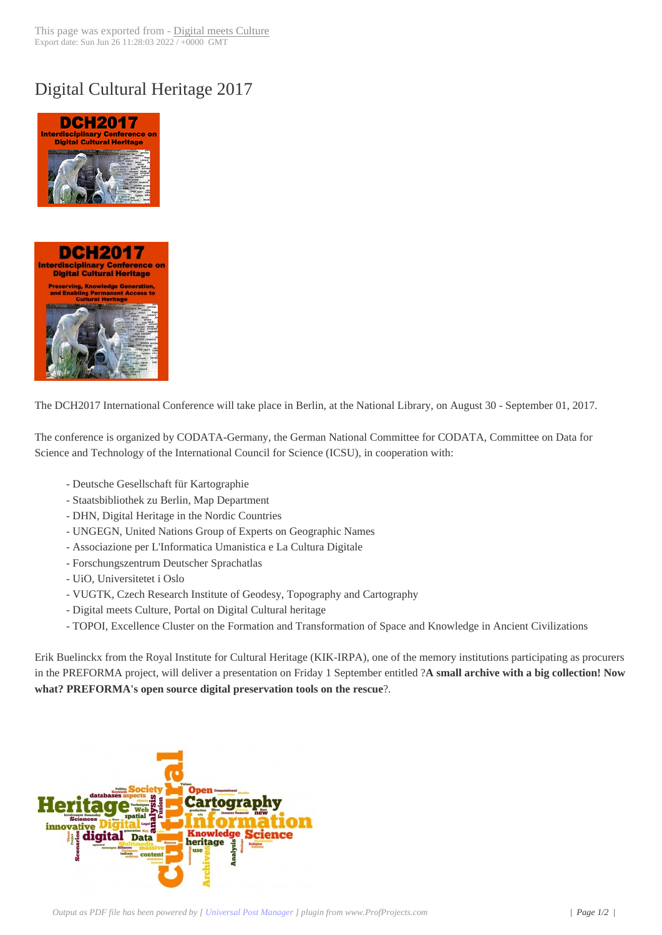## Digital Cultural He[ritage 2017](http://www.digitalmeetsculture.net/?p=43617)





[The DCH2017 International C](http://www.digitalmeetsculture.net/wp-content/uploads/2016/05/DCH2017-logo.jpg)onference will take place in Berlin, at the National Library, on August 30 - September 01, 2017.

The conference is organized by CODATA-Germany, the German National Committee for CODATA, Committee on Data for Science and Technology of the International Council for Science (ICSU), in cooperation with:

- Deutsche Gesellschaft für Kartographie
- Staatsbibliothek zu Berlin, Map Department
- DHN, Digital Heritage in the Nordic Countries
- UNGEGN, United Nations Group of Experts on Geographic Names
- Associazione per L'Informatica Umanistica e La Cultura Digitale
- Forschungszentrum Deutscher Sprachatlas
- UiO, Universitetet i Oslo
- VUGTK, Czech Research Institute of Geodesy, Topography and Cartography
- Digital meets Culture, Portal on Digital Cultural heritage
- TOPOI, Excellence Cluster on the Formation and Transformation of Space and Knowledge in Ancient Civilizations

Erik Buelinckx from the Royal Institute for Cultural Heritage (KIK-IRPA), one of the memory institutions participating as procurers in the PREFORMA project, will deliver a presentation on Friday 1 September entitled ?**A small archive with a big collection! Now what? PREFORMA's open source digital preservation tools on the rescue**?.